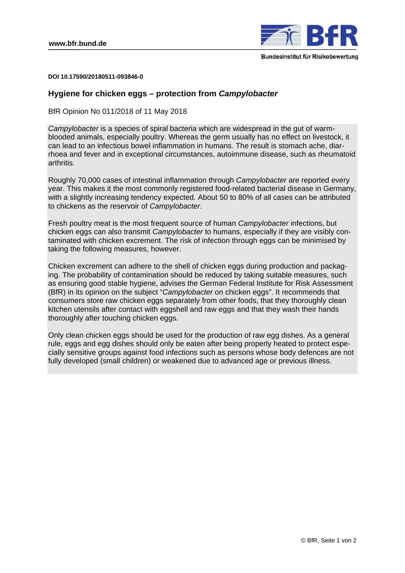

**DOI 10.17590/20180511-093846-0** 

## **Hygiene for chicken eggs – protection from** *Campylobacter*

BfR Opinion No 011/2018 of 11 May 2018

*Campylobacter* is a species of spiral bacteria which are widespread in the gut of warmblooded animals, especially poultry. Whereas the germ usually has no effect on livestock, it can lead to an infectious bowel inflammation in humans. The result is stomach ache, diarrhoea and fever and in exceptional circumstances, autoimmune disease, such as rheumatoid arthritis.

Roughly 70,000 cases of intestinal inflammation through *Campylobacter* are reported every year. This makes it the most commonly registered food-related bacterial disease in Germany, with a slightly increasing tendency expected. About 50 to 80% of all cases can be attributed to chickens as the reservoir of *Campylobacter*.

Fresh poultry meat is the most frequent source of human *Campylobacter* infections, but chicken eggs can also transmit *Campylobacter* to humans, especially if they are visibly contaminated with chicken excrement. The risk of infection through eggs can be minimised by taking the following measures, however.

Chicken excrement can adhere to the shell of chicken eggs during production and packaging. The probability of contamination should be reduced by taking suitable measures, such as ensuring good stable hygiene, advises the German Federal Institute for Risk Assessment (BfR) in its opinion on the subject "*Campylobacter* on chicken eggs". It recommends that consumers store raw chicken eggs separately from other foods, that they thoroughly clean kitchen utensils after contact with eggshell and raw eggs and that they wash their hands thoroughly after touching chicken eggs.

Only clean chicken eggs should be used for the production of raw egg dishes. As a general rule, eggs and egg dishes should only be eaten after being properly heated to protect especially sensitive groups against food infections such as persons whose body defences are not fully developed (small children) or weakened due to advanced age or previous illness.